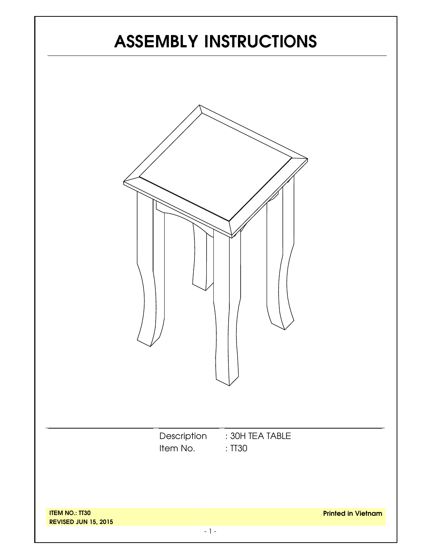# **ASSEMBLY INSTRUCTIONS**

|                                                      | Item No. | Description : 30H TEA TABLE<br>:TT30 |                           |
|------------------------------------------------------|----------|--------------------------------------|---------------------------|
| <b>ITEM NO.: TT30</b><br><b>REVISED JUN 15, 2015</b> |          |                                      | <b>Printed in Vietnam</b> |

 $-$  1 -  $-$  1 -  $-$  1 -  $-$  1 -  $-$  1 -  $-$  1 -  $-$  1 -  $-$  1 -  $-$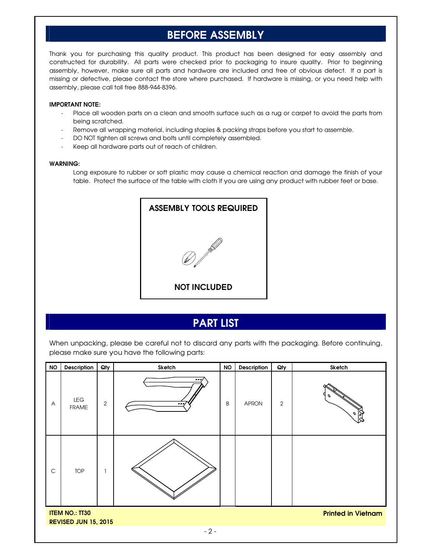# **BEFORE ASSEMBLY**

Thank you for purchasing this quality product. This product has been designed for easy assembly and constructed for durability. All parts were checked prior to packaging to insure quality. Prior to beginning assembly, however, make sure all parts and hardware are included and free of obvious defect. If a part is missing or defective, please contact the store where purchased. If hardware is missing, or you need help with assembly, please call toll free 888-944-8396.

### **IMPORTANT NOTE:**

- Place all wooden parts on a clean and smooth surface such as a rug or carpet to avoid the parts from being scratched.
- Remove all wrapping material, including staples & packing straps before you start to assemble.
- DO NOT tighten all screws and bolts until completely assembled.
- Keep all hardware parts out of reach of children.

#### **WARNING:**

Long exposure to rubber or soft plastic may cause a chemical reaction and damage the finish of your table. Protect the surface of the table with cloth if you are using any product with rubber feet or base.



## **PART LIST**

When unpacking, please be careful not to discard any parts with the packaging. Before continuing, please make sure you have the following parts:

| <b>NO</b>                                                                         | Description         | Qty            | Sketch           | <b>NO</b> | Description  | Qty            | Sketch  |
|-----------------------------------------------------------------------------------|---------------------|----------------|------------------|-----------|--------------|----------------|---------|
| A                                                                                 | LEG<br><b>FRAME</b> | $\overline{2}$ | $\bullet$<br>ہ ہ | B         | <b>APRON</b> | $\overline{c}$ | Ιð<br>o |
| $\mathsf C$                                                                       | <b>TOP</b>          |                |                  |           |              |                |         |
| <b>ITEM NO.: TT30</b><br><b>Printed in Vietnam</b><br><b>REVISED JUN 15, 2015</b> |                     |                |                  |           |              |                |         |
|                                                                                   |                     |                | $-2-$            |           |              |                |         |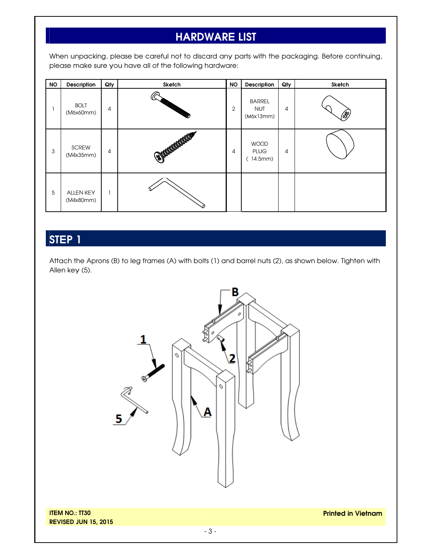# **HARDWARE LIST**

When unpacking, please be careful not to discard any parts with the packaging. Before continuing, please make sure you have all of the following hardware:

| <b>NO</b> | Description                   | Qty | Sketch                      | <b>NO</b>      | Description                              | Qty | Sketch |
|-----------|-------------------------------|-----|-----------------------------|----------------|------------------------------------------|-----|--------|
|           | <b>BOLT</b><br>(M6x60mm)      | 4   |                             | $\overline{2}$ | <b>BARREL</b><br><b>NUT</b><br>(M6x13mm) | 4   | (\$)   |
| 3         | <b>SCREW</b><br>(M4x35mm)     | 4   | <b>SOUTHERN DESCRIPTION</b> | 4              | <b>WOOD</b><br><b>PLUG</b><br>(14.5mm)   | 4   |        |
| 5         | <b>ALLEN KEY</b><br>(M4x80mm) |     |                             |                |                                          |     |        |

# **STEP 1**

Attach the Aprons (B) to leg frames (A) with bolts (1) and barrel nuts (2), as shown below. Tighten with Allen key (5).